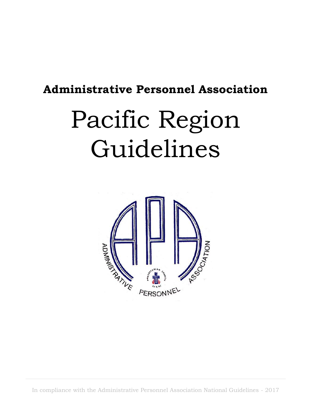## **Administrative Personnel Association**

# Pacific Region Guidelines



In compliance with the Administrative Personnel Association National Guidelines - 2017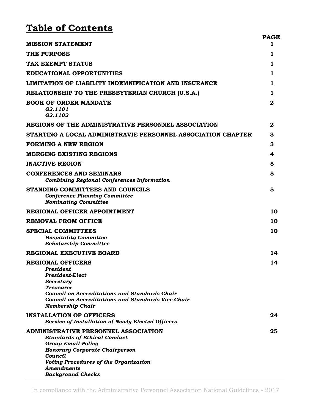## **Table of Contents**

| <b>MISSION STATEMENT</b>                                                                                                                                                                                                                               | <b>PAGE</b><br>1 |
|--------------------------------------------------------------------------------------------------------------------------------------------------------------------------------------------------------------------------------------------------------|------------------|
| <b>THE PURPOSE</b>                                                                                                                                                                                                                                     | 1                |
| TAX EXEMPT STATUS                                                                                                                                                                                                                                      | 1                |
| <b>EDUCATIONAL OPPORTUNITIES</b>                                                                                                                                                                                                                       | 1                |
| LIMITATION OF LIABILITY INDEMNIFICATION AND INSURANCE                                                                                                                                                                                                  | 1                |
| RELATIONSHIP TO THE PRESBYTERIAN CHURCH (U.S.A.)                                                                                                                                                                                                       | 1                |
| <b>BOOK OF ORDER MANDATE</b><br>G2.1101<br>G2.1102                                                                                                                                                                                                     | $\mathbf{2}$     |
| REGIONS OF THE ADMINISTRATIVE PERSONNEL ASSOCIATION                                                                                                                                                                                                    | $\mathbf{2}$     |
| STARTING A LOCAL ADMINISTRAVIE PERSONNEL ASSOCIATION CHAPTER                                                                                                                                                                                           | 3                |
| <b>FORMING A NEW REGION</b>                                                                                                                                                                                                                            | З                |
| <b>MERGING EXISTING REGIONS</b>                                                                                                                                                                                                                        | 4                |
| <b>INACTIVE REGION</b>                                                                                                                                                                                                                                 | 5                |
| <b>CONFERENCES AND SEMINARS</b><br><b>Combining Regional Conferences Information</b>                                                                                                                                                                   | 5                |
| STANDING COMMITTEES AND COUNCILS<br><b>Conference Planning Committee</b><br><b>Nominating Committee</b>                                                                                                                                                | 5                |
| REGIONAL OFFICER APPOINTMENT                                                                                                                                                                                                                           | 10               |
| <b>REMOVAL FROM OFFICE</b>                                                                                                                                                                                                                             | 10               |
| <b>SPECIAL COMMITTEES</b><br><b>Hospitality Committee</b><br><b>Scholarship Committee</b>                                                                                                                                                              | 10               |
| REGIONAL EXECUTIVE BOARD                                                                                                                                                                                                                               | 14               |
| <b>REGIONAL OFFICERS</b><br>President<br><b>President-Elect</b><br>Secretary<br><b>Treasurer</b><br><b>Council on Accreditations and Standards Chair</b><br><b>Council on Accreditations and Standards Vice-Chair</b><br><b>Membership Chair</b>       | 14               |
| <b>INSTALLATION OF OFFICERS</b><br>Service of Installation of Newly Elected Officers                                                                                                                                                                   | 24               |
| ADMINISTRATIVE PERSONNEL ASSOCIATION<br><b>Standards of Ethical Conduct</b><br><b>Group Email Policy</b><br><b>Honorary Corporate Chairperson</b><br>Council<br>Voting Procedures of the Organization<br><b>Amendments</b><br><b>Background Checks</b> | 25               |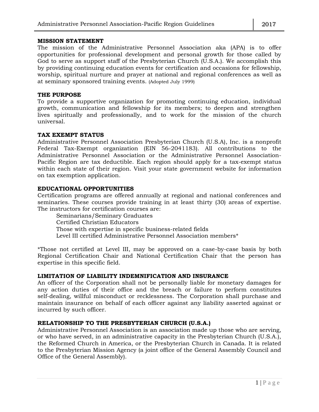#### **MISSION STATEMENT**

The mission of the Administrative Personnel Association aka (APA) is to offer opportunities for professional development and personal growth for those called by God to serve as support staff of the Presbyterian Church (U.S.A.). We accomplish this by providing continuing education events for certification and occasions for fellowship, worship, spiritual nurture and prayer at national and regional conferences as well as at seminary sponsored training events. (Adopted July 1999)

#### **THE PURPOSE**

To provide a supportive organization for promoting continuing education, individual growth, communication and fellowship for its members; to deepen and strengthen lives spiritually and professionally, and to work for the mission of the church universal.

#### **TAX EXEMPT STATUS**

Administrative Personnel Association Presbyterian Church (U.S.A), Inc. is a nonprofit Federal Tax-Exempt organization (EIN 56-2041183). All contributions to the Administrative Personnel Association or the Administrative Personnel Association-Pacific Region are tax deductible. Each region should apply for a tax-exempt status within each state of their region. Visit your state government website for information on tax exemption application.

#### **EDUCATIONAL OPPORTUNITIES**

Certification programs are offered annually at regional and national conferences and seminaries. These courses provide training in at least thirty (30) areas of expertise. The instructors for certification courses are:

Seminarians/Seminary Graduates Certified Christian Educators Those with expertise in specific business-related fields Level III certified Administrative Personnel Association members\*

\*Those not certified at Level III, may be approved on a case-by-case basis by both Regional Certification Chair and National Certification Chair that the person has expertise in this specific field.

#### **LIMITATION OF LIABILITY INDEMNIFICATION AND INSURANCE**

An officer of the Corporation shall not be personally liable for monetary damages for any action duties of their office and the breach or failure to perform constitutes self-dealing, willful misconduct or recklessness. The Corporation shall purchase and maintain insurance on behalf of each officer against any liability asserted against or incurred by such officer.

#### **RELATIONSHIP TO THE PRESBYTERIAN CHURCH (U.S.A.)**

Administrative Personnel Association is an association made up those who are serving, or who have served, in an administrative capacity in the Presbyterian Church (U.S.A.), the Reformed Church in America, or the Presbyterian Church in Canada. It is related to the Presbyterian Mission Agency (a joint office of the General Assembly Council and Office of the General Assembly).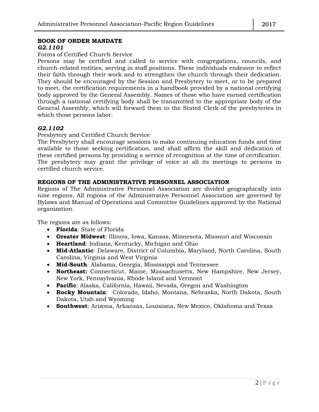#### **BOOK OF ORDER MANDATE**

#### *G2.1101*

#### Forms of Certified Church Service

Persons may be certified and called to service with congregations, councils, and church-related entities, serving in staff positions. These individuals endeavor to reflect their faith through their work and to strengthen the church through their dedication. They should be encouraged by the Session and Presbytery to meet, or to be prepared to meet, the certification requirements in a handbook provided by a national certifying body approved by the General Assembly. Names of those who have earned certification through a national certifying body shall be transmitted to the appropriate body of the General Assembly, which will forward them to the Stated Clerk of the presbyteries in which those persons labor.

#### *G2.1102*

Presbytery and Certified Church Service

The Presbytery shall encourage sessions to make continuing education funds and time available to those seeking certification, and shall affirm the skill and dedication of these certified persons by providing a service of recognition at the time of certification. The presbytery may grant the privilege of voice at all its meetings to persons in certified church service.

#### **REGIONS OF THE ADMINISTRATIVE PERSONNEL ASSOCIATION**

Regions of The Administrative Personnel Association are divided geographically into nine regions. All regions of the Administrative Personnel Association are governed by Bylaws and Manual of Operations and Committee Guidelines approved by the National organization.

The regions are as follows:

- **Florida**: State of Florida
- **Greater Midwest**: Illinois, Iowa, Kansas, Minnesota, Missouri and Wisconsin
- **Heartland**: Indiana, Kentucky, Michigan and Ohio
- **Mid-Atlantic**: Delaware, District of Columbia, Maryland, North Carolina, South Carolina, Virginia and West Virginia
- **Mid-South**: Alabama, Georgia, Mississippi and Tennessee
- **Northeast:** Connecticut, Maine, Massachusetts, New Hampshire, New Jersey, New York, Pennsylvania, Rhode Island and Vermont
- **Pacific**: Alaska, California, Hawaii, Nevada, Oregon and Washington
- **Rocky Mountain**: Colorado, Idaho, Montana, Nebraska, North Dakota, South Dakota, Utah and Wyoming
- **Southwest**: Arizona, Arkansas, Louisiana, New Mexico, Oklahoma and Texas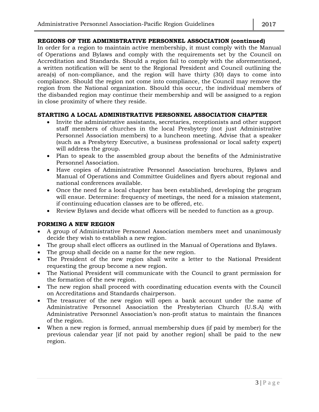#### **REGIONS OF THE ADMINISTRATIVE PERSONNEL ASSOCIATION (continued)**

In order for a region to maintain active membership, it must comply with the Manual of Operations and Bylaws and comply with the requirements set by the Council on Accreditation and Standards. Should a region fail to comply with the aforementioned, a written notification will be sent to the Regional President and Council outlining the area(s) of non-compliance, and the region will have thirty (30) days to come into compliance. Should the region not come into compliance, the Council may remove the region from the National organization. Should this occur, the individual members of the disbanded region may continue their membership and will be assigned to a region in close proximity of where they reside.

#### **STARTING A LOCAL ADMINISTRATIVE PERSONNEL ASSOCIATION CHAPTER**

- Invite the administrative assistants, secretaries, receptionists and other support staff members of churches in the local Presbytery (not just Administrative Personnel Association members) to a luncheon meeting. Advise that a speaker (such as a Presbytery Executive, a business professional or local safety expert) will address the group.
- Plan to speak to the assembled group about the benefits of the Administrative Personnel Association.
- Have copies of Administrative Personnel Association brochures, Bylaws and Manual of Operations and Committee Guidelines and flyers about regional and national conferences available.
- Once the need for a local chapter has been established, developing the program will ensue. Determine: frequency of meetings, the need for a mission statement, if continuing education classes are to be offered, etc.
- Review Bylaws and decide what officers will be needed to function as a group.

#### **FORMING A NEW REGION**

- A group of Administrative Personnel Association members meet and unanimously decide they wish to establish a new region.
- The group shall elect officers as outlined in the Manual of Operations and Bylaws.
- The group shall decide on a name for the new region.
- The President of the new region shall write a letter to the National President requesting the group become a new region.
- The National President will communicate with the Council to grant permission for the formation of the new region.
- The new region shall proceed with coordinating education events with the Council on Accreditations and Standards chairperson.
- The treasurer of the new region will open a bank account under the name of Administrative Personnel Association the Presbyterian Church (U.S.A) with Administrative Personnel Association's non-profit status to maintain the finances of the region.
- When a new region is formed, annual membership dues (if paid by member) for the previous calendar year [if not paid by another region] shall be paid to the new region.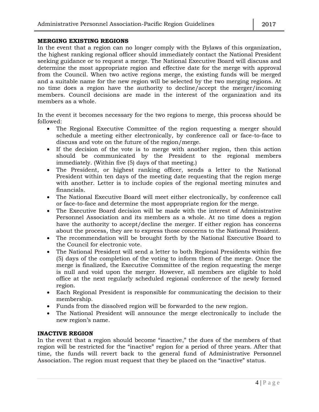#### **MERGING EXISTING REGIONS**

In the event that a region can no longer comply with the Bylaws of this organization, the highest ranking regional officer should immediately contact the National President seeking guidance or to request a merge. The National Executive Board will discuss and determine the most appropriate region and effective date for the merge with approval from the Council. When two active regions merge, the existing funds will be merged and a suitable name for the new region will be selected by the two merging regions. At no time does a region have the authority to decline/accept the merger/incoming members. Council decisions are made in the interest of the organization and its members as a whole.

In the event it becomes necessary for the two regions to merge, this process should be followed:

- The Regional Executive Committee of the region requesting a merger should schedule a meeting either electronically, by conference call or face-to-face to discuss and vote on the future of the region/merge.
- If the decision of the vote is to merge with another region, then this action should be communicated by the President to the regional members immediately. (Within five (5) days of that meeting.)
- The President, or highest ranking officer, sends a letter to the National President within ten days of the meeting date requesting that the region merge with another. Letter is to include copies of the regional meeting minutes and financials.
- The National Executive Board will meet either electronically, by conference call or face-to-face and determine the most appropriate region for the merge.
- The Executive Board decision will be made with the interest of Administrative Personnel Association and its members as a whole. At no time does a region have the authority to accept/decline the merger. If either region has concerns about the process, they are to express those concerns to the National President.
- The recommendation will be brought forth by the National Executive Board to the Council for electronic vote.
- The National President will send a letter to both Regional Presidents within five (5) days of the completion of the voting to inform them of the merge. Once the merge is finalized, the Executive Committee of the region requesting the merge is null and void upon the merger. However, all members are eligible to hold office at the next regularly scheduled regional conference of the newly formed region.
- Each Regional President is responsible for communicating the decision to their membership.
- Funds from the dissolved region will be forwarded to the new region.
- The National President will announce the merge electronically to include the new region's name.

#### **INACTIVE REGION**

In the event that a region should become "inactive," the dues of the members of that region will be restricted for the "inactive" region for a period of three years. After that time, the funds will revert back to the general fund of Administrative Personnel Association. The region must request that they be placed on the "inactive" status.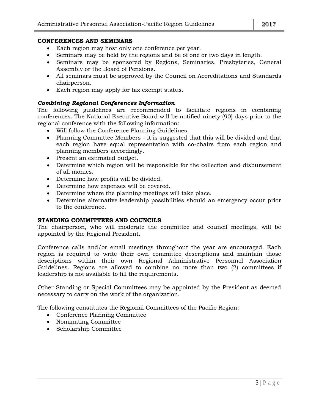#### **CONFERENCES AND SEMINARS**

- Each region may host only one conference per year.
- Seminars may be held by the regions and be of one or two days in length.
- Seminars may be sponsored by Regions, Seminaries, Presbyteries, General Assembly or the Board of Pensions.
- All seminars must be approved by the Council on Accreditations and Standards chairperson.
- Each region may apply for tax exempt status.

#### *Combining Regional Conferences Information*

The following guidelines are recommended to facilitate regions in combining conferences. The National Executive Board will be notified ninety (90) days prior to the regional conference with the following information:

- Will follow the Conference Planning Guidelines.
- Planning Committee Members it is suggested that this will be divided and that each region have equal representation with co-chairs from each region and planning members accordingly.
- Present an estimated budget.
- Determine which region will be responsible for the collection and disbursement of all monies.
- Determine how profits will be divided.
- Determine how expenses will be covered.
- Determine where the planning meetings will take place.
- Determine alternative leadership possibilities should an emergency occur prior to the conference.

#### **STANDING COMMITTEES AND COUNCILS**

The chairperson, who will moderate the committee and council meetings, will be appointed by the Regional President.

Conference calls and/or email meetings throughout the year are encouraged. Each region is required to write their own committee descriptions and maintain those descriptions within their own Regional Administrative Personnel Association Guidelines. Regions are allowed to combine no more than two (2) committees if leadership is not available to fill the requirements.

Other Standing or Special Committees may be appointed by the President as deemed necessary to carry on the work of the organization.

The following constitutes the Regional Committees of the Pacific Region:

- Conference Planning Committee
- Nominating Committee
- Scholarship Committee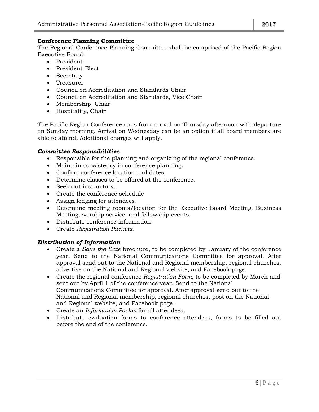#### **Conference Planning Committee**

The Regional Conference Planning Committee shall be comprised of the Pacific Region Executive Board:

- President
- President-Elect
- Secretary
- Treasurer
- Council on Accreditation and Standards Chair
- Council on Accreditation and Standards, Vice Chair
- Membership, Chair
- Hospitality, Chair

The Pacific Region Conference runs from arrival on Thursday afternoon with departure on Sunday morning. Arrival on Wednesday can be an option if all board members are able to attend. Additional charges will apply.

#### *Committee Responsibilities*

- Responsible for the planning and organizing of the regional conference.
- Maintain consistency in conference planning.
- Confirm conference location and dates.
- Determine classes to be offered at the conference.
- Seek out instructors.
- Create the conference schedule
- Assign lodging for attendees.
- Determine meeting rooms/location for the Executive Board Meeting, Business Meeting, worship service, and fellowship events.
- Distribute conference information.
- Create *Registration Packets*.

#### *Distribution of Information*

- Create a *Save the Date* brochure, to be completed by January of the conference year. Send to the National Communications Committee for approval. After approval send out to the National and Regional membership, regional churches, advertise on the National and Regional website, and Facebook page.
- Create the regional conference *Registration Form*, to be completed by March and sent out by April 1 of the conference year. Send to the National Communications Committee for approval. After approval send out to the National and Regional membership, regional churches, post on the National and Regional website, and Facebook page.
- Create an *Information Packet* for all attendees.
- Distribute evaluation forms to conference attendees, forms to be filled out before the end of the conference.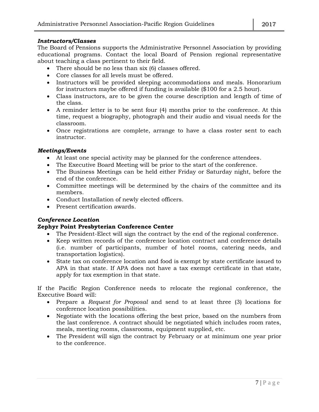#### *Instructors/Classes*

The Board of Pensions supports the Administrative Personnel Association by providing educational programs. Contact the local Board of Pension regional representative about teaching a class pertinent to their field.

- There should be no less than six (6) classes offered.
- Core classes for all levels must be offered.
- Instructors will be provided sleeping accommodations and meals. Honorarium for instructors maybe offered if funding is available (\$100 for a 2.5 hour).
- Class instructors, are to be given the course description and length of time of the class.
- A reminder letter is to be sent four (4) months prior to the conference. At this time, request a biography, photograph and their audio and visual needs for the classroom.
- Once registrations are complete, arrange to have a class roster sent to each instructor.

#### *Meetings/Events*

- At least one special activity may be planned for the conference attendees.
- The Executive Board Meeting will be prior to the start of the conference.
- The Business Meetings can be held either Friday or Saturday night, before the end of the conference.
- Committee meetings will be determined by the chairs of the committee and its members.
- Conduct Installation of newly elected officers.
- Present certification awards.

#### *Conference Location*

#### **Zephyr Point Presbyterian Conference Center**

- The President-Elect will sign the contract by the end of the regional conference.
- Keep written records of the conference location contract and conference details (i.e. number of participants, number of hotel rooms, catering needs, and transportation logistics).
- State tax on conference location and food is exempt by state certificate issued to APA in that state. If APA does not have a tax exempt certificate in that state, apply for tax exemption in that state.

If the Pacific Region Conference needs to relocate the regional conference, the Executive Board will:

- Prepare a *Request for Proposal* and send to at least three (3) locations for conference location possibilities.
- Negotiate with the locations offering the best price, based on the numbers from the last conference. A contract should be negotiated which includes room rates, meals, meeting rooms, classrooms, equipment supplied, etc.
- The President will sign the contract by February or at minimum one year prior to the conference.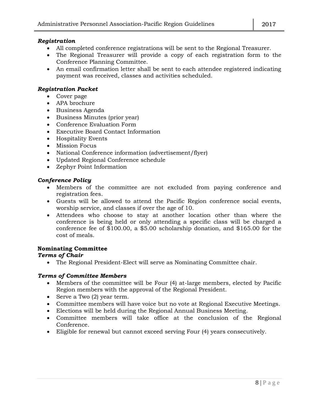#### *Registration*

- All completed conference registrations will be sent to the Regional Treasurer.
- The Regional Treasurer will provide a copy of each registration form to the Conference Planning Committee.
- An email confirmation letter shall be sent to each attendee registered indicating payment was received, classes and activities scheduled.

#### *Registration Packet*

- Cover page
- APA brochure
- Business Agenda
- Business Minutes (prior year)
- Conference Evaluation Form
- Executive Board Contact Information
- Hospitality Events
- Mission Focus
- National Conference information (advertisement/flyer)
- Updated Regional Conference schedule
- Zephyr Point Information

#### *Conference Policy*

- Members of the committee are not excluded from paying conference and registration fees.
- Guests will be allowed to attend the Pacific Region conference social events, worship service, and classes if over the age of 10.
- Attendees who choose to stay at another location other than where the conference is being held or only attending a specific class will be charged a conference fee of \$100.00, a \$5.00 scholarship donation, and \$165.00 for the cost of meals.

#### **Nominating Committee**

#### *Terms of Chair*

The Regional President-Elect will serve as Nominating Committee chair.

#### *Terms of Committee Members*

- Members of the committee will be Four (4) at-large members, elected by Pacific Region members with the approval of the Regional President.
- Serve a Two (2) year term.
- Committee members will have voice but no vote at Regional Executive Meetings.
- Elections will be held during the Regional Annual Business Meeting.
- Committee members will take office at the conclusion of the Regional Conference.
- Eligible for renewal but cannot exceed serving Four (4) years consecutively.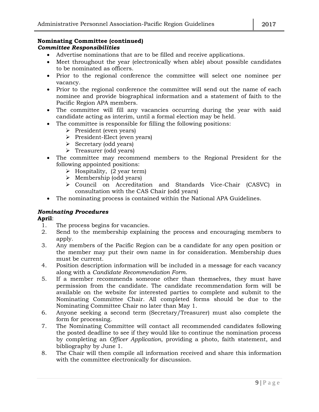#### **Nominating Committee (continued)** *Committee Responsibilities*

- Advertise nominations that are to be filled and receive applications.
- Meet throughout the year (electronically when able) about possible candidates to be nominated as officers.
- Prior to the regional conference the committee will select one nominee per vacancy.
- Prior to the regional conference the committee will send out the name of each nominee and provide biographical information and a statement of faith to the Pacific Region APA members.
- The committee will fill any vacancies occurring during the year with said candidate acting as interim, until a formal election may be held.
- The committee is responsible for filling the following positions:
	- $\triangleright$  President (even years)
	- President-Elect (even years)
	- $\triangleright$  Secretary (odd years)
	- > Treasurer (odd years)
- The committee may recommend members to the Regional President for the following appointed positions:
	- $\triangleright$  Hospitality, (2 year term)
	- $\triangleright$  Membership (odd years)
	- Council on Accreditation and Standards Vice-Chair (CASVC) in consultation with the CAS Chair (odd years)
- The nominating process is contained within the National APA Guidelines.

#### *Nominating Procedures*

#### **April**:

- 1. The process begins for vacancies.
- 2. Send to the membership explaining the process and encouraging members to apply.
- 3. Any members of the Pacific Region can be a candidate for any open position or the member may put their own name in for consideration. Membership dues must be current.
- 4. Position description information will be included in a message for each vacancy along with a *Candidate Recommendation Form*.
- 5. If a member recommends someone other than themselves, they must have permission from the candidate. The candidate recommendation form will be available on the website for interested parties to complete and submit to the Nominating Committee Chair. All completed forms should be due to the Nominating Committee Chair no later than May 1.
- 6. Anyone seeking a second term (Secretary/Treasurer) must also complete the form for processing.
- 7. The Nominating Committee will contact all recommended candidates following the posted deadline to see if they would like to continue the nomination process by completing an *Officer Application*, providing a photo, faith statement, and bibliography by June 1.
- 8. The Chair will then compile all information received and share this information with the committee electronically for discussion.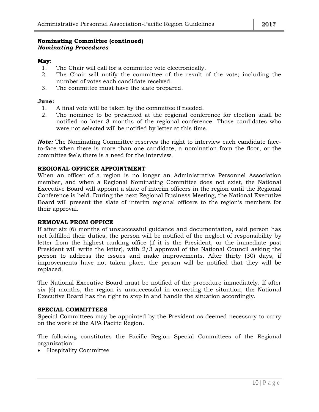#### **Nominating Committee (continued)** *Nominating Procedures*

#### **May**:

- 1. The Chair will call for a committee vote electronically.
- 2. The Chair will notify the committee of the result of the vote; including the number of votes each candidate received.
- 3. The committee must have the slate prepared.

#### **June:**

- 1. A final vote will be taken by the committee if needed.
- 2. The nominee to be presented at the regional conference for election shall be notified no later 3 months of the regional conference. Those candidates who were not selected will be notified by letter at this time.

*Note:* The Nominating Committee reserves the right to interview each candidate faceto-face when there is more than one candidate, a nomination from the floor, or the committee feels there is a need for the interview.

#### **REGIONAL OFFICER APPOINTMENT**

When an officer of a region is no longer an Administrative Personnel Association member, and when a Regional Nominating Committee does not exist, the National Executive Board will appoint a slate of interim officers in the region until the Regional Conference is held. During the next Regional Business Meeting, the National Executive Board will present the slate of interim regional officers to the region's members for their approval.

#### **REMOVAL FROM OFFICE**

If after six (6) months of unsuccessful guidance and documentation, said person has not fulfilled their duties, the person will be notified of the neglect of responsibility by letter from the highest ranking office (if it is the President, or the immediate past President will write the letter), with 2/3 approval of the National Council asking the person to address the issues and make improvements. After thirty (30) days, if improvements have not taken place, the person will be notified that they will be replaced.

The National Executive Board must be notified of the procedure immediately. If after six (6) months, the region is unsuccessful in correcting the situation, the National Executive Board has the right to step in and handle the situation accordingly.

#### **SPECIAL COMMITTEES**

Special Committees may be appointed by the President as deemed necessary to carry on the work of the APA Pacific Region.

The following constitutes the Pacific Region Special Committees of the Regional organization:

Hospitality Committee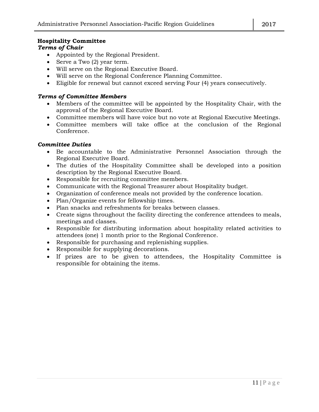#### **Hospitality Committee**

#### *Terms of Chair*

- Appointed by the Regional President.
- Serve a Two (2) year term.
- Will serve on the Regional Executive Board.
- Will serve on the Regional Conference Planning Committee.
- Eligible for renewal but cannot exceed serving Four (4) years consecutively.

#### *Terms of Committee Members*

- Members of the committee will be appointed by the Hospitality Chair, with the approval of the Regional Executive Board.
- Committee members will have voice but no vote at Regional Executive Meetings.
- Committee members will take office at the conclusion of the Regional Conference.

#### *Committee Duties*

- Be accountable to the Administrative Personnel Association through the Regional Executive Board.
- The duties of the Hospitality Committee shall be developed into a position description by the Regional Executive Board.
- Responsible for recruiting committee members.
- Communicate with the Regional Treasurer about Hospitality budget.
- Organization of conference meals not provided by the conference location.
- Plan/Organize events for fellowship times.
- Plan snacks and refreshments for breaks between classes.
- Create signs throughout the facility directing the conference attendees to meals, meetings and classes.
- Responsible for distributing information about hospitality related activities to attendees (one) 1 month prior to the Regional Conference.
- Responsible for purchasing and replenishing supplies.
- Responsible for supplying decorations.
- If prizes are to be given to attendees, the Hospitality Committee is responsible for obtaining the items.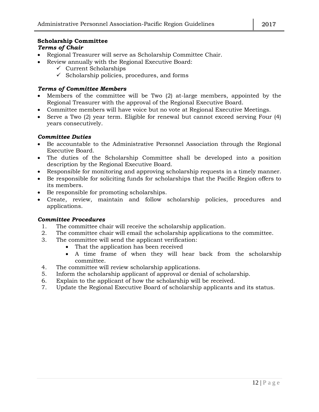#### **Scholarship Committee**

#### *Terms of Chair*

- Regional Treasurer will serve as Scholarship Committee Chair.
- Review annually with the Regional Executive Board:
	- $\checkmark$  Current Scholarships
	- $\checkmark$  Scholarship policies, procedures, and forms

#### *Terms of Committee Members*

- Members of the committee will be Two (2) at-large members, appointed by the Regional Treasurer with the approval of the Regional Executive Board.
- Committee members will have voice but no vote at Regional Executive Meetings.
- Serve a Two (2) year term. Eligible for renewal but cannot exceed serving Four (4) years consecutively.

#### *Committee Duties*

- Be accountable to the Administrative Personnel Association through the Regional Executive Board.
- The duties of the Scholarship Committee shall be developed into a position description by the Regional Executive Board.
- Responsible for monitoring and approving scholarship requests in a timely manner.
- Be responsible for soliciting funds for scholarships that the Pacific Region offers to its members.
- Be responsible for promoting scholarships.
- Create, review, maintain and follow scholarship policies, procedures and applications.

#### *Committee Procedures*

- 1. The committee chair will receive the scholarship application.
- 2. The committee chair will email the scholarship applications to the committee.
- 3. The committee will send the applicant verification:
	- That the application has been received
	- A time frame of when they will hear back from the scholarship committee.
- 4. The committee will review scholarship applications.
- 5. Inform the scholarship applicant of approval or denial of scholarship.
- 6. Explain to the applicant of how the scholarship will be received.
- 7. Update the Regional Executive Board of scholarship applicants and its status.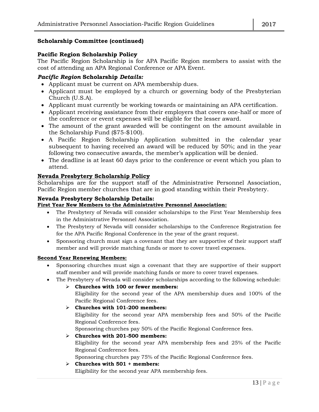#### **Scholarship Committee (continued)**

#### **Pacific Region Scholarship Policy**

The Pacific Region Scholarship is for APA Pacific Region members to assist with the cost of attending an APA Regional Conference or APA Event.

#### *Pacific Region* **Scholarship** *Details:*

- Applicant must be current on APA membership dues.
- Applicant must be employed by a church or governing body of the Presbyterian Church (U.S.A).
- Applicant must currently be working towards or maintaining an APA certification.
- Applicant receiving assistance from their employers that covers one-half or more of the conference or event expenses will be eligible for the lesser award.
- The amount of the grant awarded will be contingent on the amount available in the Scholarship Fund (\$75-\$100).
- A Pacific Region Scholarship Application submitted in the calendar year subsequent to having received an award will be reduced by 50%; and in the year following two consecutive awards, the member's application will be denied.
- The deadline is at least 60 days prior to the conference or event which you plan to attend.

#### **Nevada Presbytery Scholarship Policy**

Scholarships are for the support staff of the Administrative Personnel Association, Pacific Region member churches that are in good standing within their Presbytery.

#### **Nevada Presbytery Scholarship Details:**

#### **First Year New Members to the Administrative Personnel Association:**

- The Presbytery of Nevada will consider scholarships to the First Year Membership fees in the Administrative Personnel Association.
- The Presbytery of Nevada will consider scholarships to the Conference Registration fee for the APA Pacific Regional Conference in the year of the grant request.
- Sponsoring church must sign a covenant that they are supportive of their support staff member and will provide matching funds or more to cover travel expenses.

#### **Second Year Renewing Members:**

- Sponsoring churches must sign a covenant that they are supportive of their support staff member and will provide matching funds or more to cover travel expenses.
- The Presbytery of Nevada will consider scholarships according to the following schedule:

#### **Churches with 100 or fewer members:**

Eligibility for the second year of the APA membership dues and 100% of the Pacific Regional Conference fees.

#### **Churches with 101-200 members:**

Eligibility for the second year APA membership fees and 50% of the Pacific Regional Conference fees.

Sponsoring churches pay 50% of the Pacific Regional Conference fees.

#### **Churches with 201-500 members:**

Eligibility for the second year APA membership fees and 25% of the Pacific Regional Conference fees.

Sponsoring churches pay 75% of the Pacific Regional Conference fees.

#### **Churches with 501 + members:**

Eligibility for the second year APA membership fees.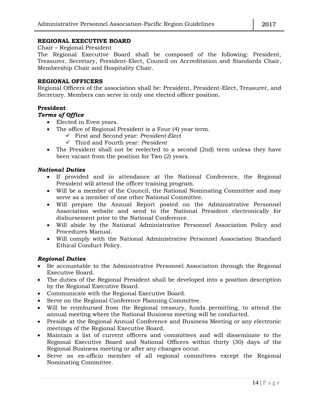#### **REGIONAL EXECUTIVE BOARD**

Chair – Regional President

The Regional Executive Board shall be composed of the following: President, Treasurer, Secretary, President-Elect, Council on Accreditation and Standards Chair, Membership Chair and Hospitality Chair.

#### **REGIONAL OFFICERS**

Regional Officers of the association shall be: President, President-Elect, Treasurer, and Secretary. Members can serve in only one elected officer position.

#### **President**

#### *Terms of Office*

- Elected in Even years.
- The office of Regional President is a Four (4) year term.
	- First and Second year: *President-Elect*
	- Third and Fourth year: *President*
- The President shall not be reelected to a second (2nd) term unless they have been vacant from the position for Two (2) years.

#### *National Duties*

- If provided and in attendance at the National Conference, the Regional President will attend the officer training program.
- Will be a member of the Council, the National Nominating Committee and may serve as a member of one other National Committee.
- Will prepare the Annual Report posted on the Administrative Personnel Association website and send to the National President electronically for disbursement prior to the National Conference.
- Will abide by the National Administrative Personnel Association Policy and Procedures Manual.
- Will comply with the National Administrative Personnel Association Standard Ethical Conduct Policy.

#### *Regional Duties*

- Be accountable to the Administrative Personnel Association through the Regional Executive Board.
- The duties of the Regional President shall be developed into a position description by the Regional Executive Board.
- Communicate with the Regional Executive Board.
- Serve on the Regional Conference Planning Committee.
- Will be reimbursed from the Regional treasury, funds permitting, to attend the annual meeting where the National Business meeting will be conducted.
- Preside at the Regional Annual Conference and Business Meeting or any electronic meetings of the Regional Executive Board.
- Maintain a list of current officers and committees and will disseminate to the Regional Executive Board and National Officers within thirty (30) days of the Regional Business meeting or after any changes occur.
- Serve as ex-officio member of all regional committees except the Regional Nominating Committee.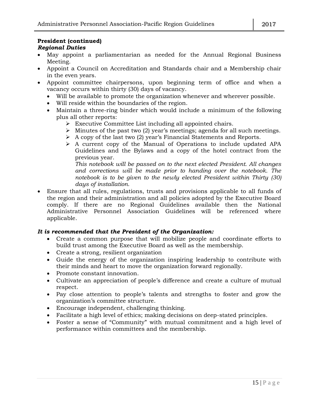#### **President (continued)** *Regional Duties*

- May appoint a parliamentarian as needed for the Annual Regional Business Meeting.
- Appoint a Council on Accreditation and Standards chair and a Membership chair in the even years.
- Appoint committee chairpersons, upon beginning term of office and when a vacancy occurs within thirty (30) days of vacancy.
	- Will be available to promote the organization whenever and wherever possible.
	- Will reside within the boundaries of the region.
	- Maintain a three-ring binder which would include a minimum of the following plus all other reports:
		- Executive Committee List including all appointed chairs.
		- $\triangleright$  Minutes of the past two (2) year's meetings; agenda for all such meetings.
		- $\triangleright$  A copy of the last two (2) year's Financial Statements and Reports.
		- A current copy of the Manual of Operations to include updated APA Guidelines and the Bylaws and a copy of the hotel contract from the previous year.

*This notebook will be passed on to the next elected President. All changes and corrections will be made prior to handing over the notebook. The notebook is to be given to the newly elected President within Thirty (30) days of installation.*

 Ensure that all rules, regulations, trusts and provisions applicable to all funds of the region and their administration and all policies adopted by the Executive Board comply. If there are no Regional Guidelines available then the National Administrative Personnel Association Guidelines will be referenced where applicable.

#### *It is recommended that the President of the Organization:*

- Create a common purpose that will mobilize people and coordinate efforts to build trust among the Executive Board as well as the membership.
- Create a strong, resilient organization
- Guide the energy of the organization inspiring leadership to contribute with their minds and heart to move the organization forward regionally.
- Promote constant innovation.
- Cultivate an appreciation of people's difference and create a culture of mutual respect.
- Pay close attention to people's talents and strengths to foster and grow the organization's committee structure.
- Encourage independent, challenging thinking.
- Facilitate a high level of ethics; making decisions on deep-stated principles.
- Foster a sense of "Community" with mutual commitment and a high level of performance within committees and the membership.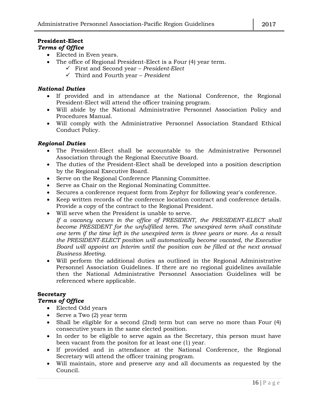#### **President-Elect** *Terms of Office*

- Elected in Even years.
- The office of Regional President-Elect is a Four (4) year term.
	- First and Second year *President-Elect*
	- Third and Fourth year *President*

#### *National Duties*

- If provided and in attendance at the National Conference, the Regional President-Elect will attend the officer training program.
- Will abide by the National Administrative Personnel Association Policy and Procedures Manual.
- Will comply with the Administrative Personnel Association Standard Ethical Conduct Policy.

#### *Regional Duties*

- The President-Elect shall be accountable to the Administrative Personnel Association through the Regional Executive Board.
- The duties of the President-Elect shall be developed into a position description by the Regional Executive Board.
- Serve on the Regional Conference Planning Committee.
- Serve as Chair on the Regional Nominating Committee.
- Secures a conference request form from Zephyr for following year's conference.
- Keep written records of the conference location contract and conference details. Provide a copy of the contract to the Regional President.
- Will serve when the President is unable to serve.
	- *If a vacancy occurs in the office of PRESIDENT, the PRESIDENT-ELECT shall become PRESIDENT for the unfulfilled term. The unexpired term shall constitute one term if the time left in the unexpired term is three years or more. As a result the PRESIDENT-ELECT position will automatically become vacated, the Executive Board will appoint an Interim until the position can be filled at the next annual Business Meeting.*
- Will perform the additional duties as outlined in the Regional Administrative Personnel Association Guidelines. If there are no regional guidelines available then the National Administrative Personnel Association Guidelines will be referenced where applicable.

#### **Secretary**

#### *Terms of Office*

- Elected Odd years
- Serve a Two (2) year term
- Shall be eligible for a second (2nd) term but can serve no more than Four (4) consecutive years in the same elected position.
- In order to be eligible to serve again as the Secretary, this person must have been vacant from the positon for at least one (1) year.
- If provided and in attendance at the National Conference, the Regional Secretary will attend the officer training program.
- Will maintain, store and preserve any and all documents as requested by the Council.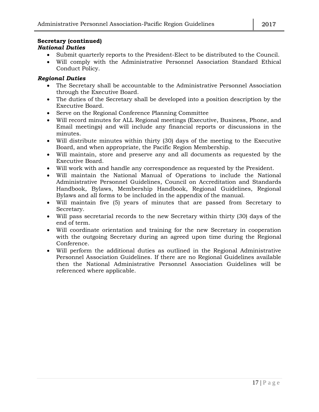#### **Secretary (continued)** *National Duties*

- Submit quarterly reports to the President-Elect to be distributed to the Council.
- Will comply with the Administrative Personnel Association Standard Ethical Conduct Policy.

#### *Regional Duties*

- The Secretary shall be accountable to the Administrative Personnel Association through the Executive Board.
- The duties of the Secretary shall be developed into a position description by the Executive Board.
- Serve on the Regional Conference Planning Committee
- Will record minutes for ALL Regional meetings (Executive, Business, Phone, and Email meetings) and will include any financial reports or discussions in the minutes.
- Will distribute minutes within thirty (30) days of the meeting to the Executive Board, and when appropriate, the Pacific Region Membership.
- Will maintain, store and preserve any and all documents as requested by the Executive Board.
- Will work with and handle any correspondence as requested by the President.
- Will maintain the National Manual of Operations to include the National Administrative Personnel Guidelines, Council on Accreditation and Standards Handbook, Bylaws, Membership Handbook, Regional Guidelines, Regional Bylaws and all forms to be included in the appendix of the manual.
- Will maintain five (5) years of minutes that are passed from Secretary to Secretary.
- Will pass secretarial records to the new Secretary within thirty (30) days of the end of term.
- Will coordinate orientation and training for the new Secretary in cooperation with the outgoing Secretary during an agreed upon time during the Regional Conference.
- Will perform the additional duties as outlined in the Regional Administrative Personnel Association Guidelines. If there are no Regional Guidelines available then the National Administrative Personnel Association Guidelines will be referenced where applicable.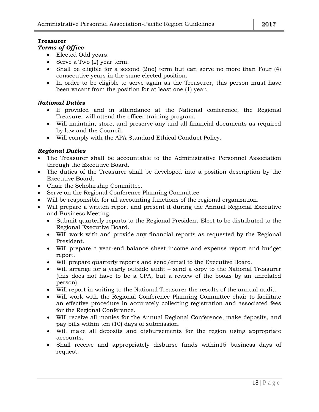#### **Treasurer**

#### *Terms of Office*

- Elected Odd years.
- Serve a Two (2) year term.
- Shall be eligible for a second (2nd) term but can serve no more than Four (4) consecutive years in the same elected position.
- In order to be eligible to serve again as the Treasurer, this person must have been vacant from the position for at least one (1) year.

#### *National Duties*

- If provided and in attendance at the National conference, the Regional Treasurer will attend the officer training program.
- Will maintain, store, and preserve any and all financial documents as required by law and the Council.
- Will comply with the APA Standard Ethical Conduct Policy.

#### *Regional Duties*

- The Treasurer shall be accountable to the Administrative Personnel Association through the Executive Board.
- The duties of the Treasurer shall be developed into a position description by the Executive Board.
- Chair the Scholarship Committee.
- Serve on the Regional Conference Planning Committee
- Will be responsible for all accounting functions of the regional organization.
- Will prepare a written report and present it during the Annual Regional Executive and Business Meeting.
	- Submit quarterly reports to the Regional President-Elect to be distributed to the Regional Executive Board.
	- Will work with and provide any financial reports as requested by the Regional President.
	- Will prepare a year-end balance sheet income and expense report and budget report.
	- Will prepare quarterly reports and send/email to the Executive Board.
	- Will arrange for a yearly outside audit send a copy to the National Treasurer (this does not have to be a CPA, but a review of the books by an unrelated person).
	- Will report in writing to the National Treasurer the results of the annual audit.
	- Will work with the Regional Conference Planning Committee chair to facilitate an effective procedure in accurately collecting registration and associated fees for the Regional Conference.
	- Will receive all monies for the Annual Regional Conference, make deposits, and pay bills within ten (10) days of submission.
	- Will make all deposits and disbursements for the region using appropriate accounts.
	- Shall receive and appropriately disburse funds within15 business days of request.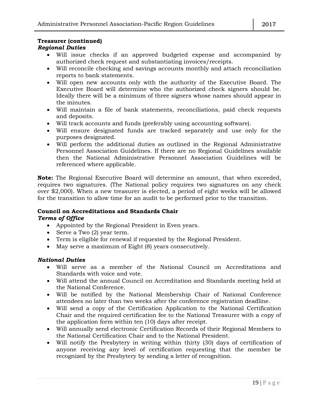#### **Treasurer (continued)**

#### *Regional Duties*

- Will issue checks if an approved budgeted expense and accompanied by authorized check request and substantiating invoices/receipts.
- Will reconcile checking and savings accounts monthly and attach reconciliation reports to bank statements.
- Will open new accounts only with the authority of the Executive Board. The Executive Board will determine who the authorized check signers should be. Ideally there will be a minimum of three signers whose names should appear in the minutes.
- Will maintain a file of bank statements, reconciliations, paid check requests and deposits.
- Will track accounts and funds (preferably using accounting software).
- Will ensure designated funds are tracked separately and use only for the purposes designated.
- Will perform the additional duties as outlined in the Regional Administrative Personnel Association Guidelines. If there are no Regional Guidelines available then the National Administrative Personnel Association Guidelines will be referenced where applicable.

**Note:** The Regional Executive Board will determine an amount, that when exceeded, requires two signatures. (The National policy requires two signatures on any check over \$2,000). When a new treasurer is elected, a period of eight weeks will be allowed for the transition to allow time for an audit to be performed prior to the transition.

#### **Council on Accreditations and Standards Chair**

#### *Terms of Office*

- Appointed by the Regional President in Even years.
- Serve a Two (2) year term.
- Term is eligible for renewal if requested by the Regional President.
- May serve a maximum of Eight (8) years consecutively.

#### *National Duties*

- Will serve as a member of the National Council on Accreditations and Standards with voice and vote.
- Will attend the annual Council on Accreditation and Standards meeting held at the National Conference.
- Will be notified by the National Membership Chair of National Conference attendees no later than two weeks after the conference registration deadline.
- Will send a copy of the Certification Application to the National Certification Chair and the required certification fee to the National Treasurer with a copy of the application form within ten (10) days after receipt.
- Will annually send electronic Certification Records of their Regional Members to the National Certification Chair and to the National President.
- Will notify the Presbytery in writing within thirty (30) days of certification of anyone receiving any level of certification requesting that the member be recognized by the Presbytery by sending a letter of recognition.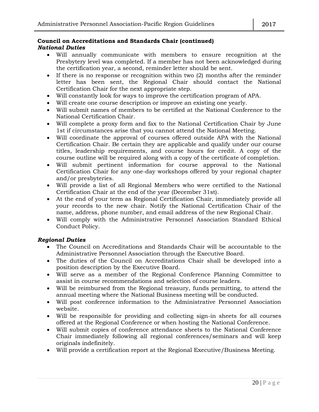#### **Council on Accreditations and Standards Chair (continued)** *National Duties*

- Will annually communicate with members to ensure recognition at the Presbytery level was completed. If a member has not been acknowledged during the certification year, a second, reminder letter should be sent.
- If there is no response or recognition within two  $(2)$  months after the reminder letter has been sent, the Regional Chair should contact the National Certification Chair for the next appropriate step.
- Will constantly look for ways to improve the certification program of APA.
- Will create one course description or improve an existing one yearly.
- Will submit names of members to be certified at the National Conference to the National Certification Chair.
- Will complete a proxy form and fax to the National Certification Chair by June 1st if circumstances arise that you cannot attend the National Meeting.
- Will coordinate the approval of courses offered outside APA with the National Certification Chair. Be certain they are applicable and qualify under our course titles, leadership requirements, and course hours for credit. A copy of the course outline will be required along with a copy of the certificate of completion.
- Will submit pertinent information for course approval to the National Certification Chair for any one-day workshops offered by your regional chapter and/or presbyteries.
- Will provide a list of all Regional Members who were certified to the National Certification Chair at the end of the year (December 31st).
- At the end of your term as Regional Certification Chair, immediately provide all your records to the new chair. Notify the National Certification Chair of the name, address, phone number, and email address of the new Regional Chair.
- Will comply with the Administrative Personnel Association Standard Ethical Conduct Policy.

#### *Regional Duties*

- The Council on Accreditations and Standards Chair will be accountable to the Administrative Personnel Association through the Executive Board.
- The duties of the Council on Accreditations Chair shall be developed into a position description by the Executive Board.
- Will serve as a member of the Regional Conference Planning Committee to assist in course recommendations and selection of course leaders.
- Will be reimbursed from the Regional treasury, funds permitting, to attend the annual meeting where the National Business meeting will be conducted.
- Will post conference information to the Administrative Personnel Association website.
- Will be responsible for providing and collecting sign-in sheets for all courses offered at the Regional Conference or when hosting the National Conference.
- Will submit copies of conference attendance sheets to the National Conference Chair immediately following all regional conferences/seminars and will keep originals indefinitely.
- Will provide a certification report at the Regional Executive/Business Meeting.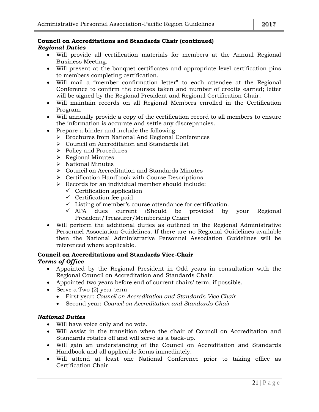#### **Council on Accreditations and Standards Chair (continued)** *Regional Duties*

- Will provide all certification materials for members at the Annual Regional Business Meeting.
- Will present at the banquet certificates and appropriate level certification pins to members completing certification.
- Will mail a "member confirmation letter" to each attendee at the Regional Conference to confirm the courses taken and number of credits earned; letter will be signed by the Regional President and Regional Certification Chair.
- Will maintain records on all Regional Members enrolled in the Certification Program.
- Will annually provide a copy of the certification record to all members to ensure the information is accurate and settle any discrepancies.
- Prepare a binder and include the following:
	- > Brochures from National And Regional Conferences
	- Council on Accreditation and Standards list
	- $\triangleright$  Policy and Procedures
	- Regional Minutes
	- $\triangleright$  National Minutes
	- Council on Accreditation and Standards Minutes
	- $\triangleright$  Certification Handbook with Course Descriptions
	- $\triangleright$  Records for an individual member should include:
		- $\checkmark$  Certification application
		- $\checkmark$  Certification fee paid
		- $\checkmark$  Listing of member's course attendance for certification.
		- $\checkmark$  APA dues current (Should be provided by your Regional President/Treasurer/Membership Chair)
- Will perform the additional duties as outlined in the Regional Administrative Personnel Association Guidelines. If there are no Regional Guidelines available then the National Administrative Personnel Association Guidelines will be referenced where applicable.

#### **Council on Accreditations and Standards Vice-Chair**

#### *Terms of Office*

- Appointed by the Regional President in Odd years in consultation with the Regional Council on Accreditation and Standards Chair.
- Appointed two years before end of current chairs' term, if possible.
- Serve a Two (2) year term
	- First year: *Council on Accreditation and Standards-Vice Chair*
	- Second year: *Council on Accreditation and Standards-Chair*

#### *National Duties*

- Will have voice only and no vote.
- Will assist in the transition when the chair of Council on Accreditation and Standards rotates off and will serve as a back-up.
- Will gain an understanding of the Council on Accreditation and Standards Handbook and all applicable forms immediately.
- Will attend at least one National Conference prior to taking office as Certification Chair.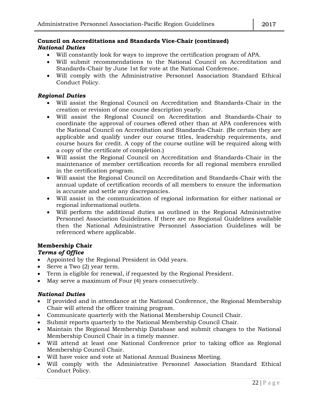#### **Council on Accreditations and Standards Vice-Chair (continued)** *National Duties*

- Will constantly look for ways to improve the certification program of APA.
- Will submit recommendations to the National Council on Accreditation and Standards-Chair by June 1st for vote at the National Conference.
- Will comply with the Administrative Personnel Association Standard Ethical Conduct Policy.

#### *Regional Duties*

- Will assist the Regional Council on Accreditation and Standards-Chair in the creation or revision of one course description yearly.
- Will assist the Regional Council on Accreditation and Standards-Chair to coordinate the approval of courses offered other than at APA conferences with the National Council on Accreditation and Standards-Chair. (Be certain they are applicable and qualify under our course titles, leadership requirements, and course hours for credit. A copy of the course outline will be required along with a copy of the certificate of completion.)
- Will assist the Regional Council on Accreditation and Standards-Chair in the maintenance of member certification records for all regional members enrolled in the certification program.
- Will assist the Regional Council on Accreditation and Standards-Chair with the annual update of certification records of all members to ensure the information is accurate and settle any discrepancies.
- Will assist in the communication of regional information for either national or regional informational outlets.
- Will perform the additional duties as outlined in the Regional Administrative Personnel Association Guidelines. If there are no Regional Guidelines available then the National Administrative Personnel Association Guidelines will be referenced where applicable.

#### **Membership Chair**

#### *Terms of Office*

- Appointed by the Regional President in Odd years.
- Serve a Two (2) year term.
- Term is eligible for renewal, if requested by the Regional President.
- May serve a maximum of Four (4) years consecutively.

#### *National Duties*

- If provided and in attendance at the National Conference, the Regional Membership Chair will attend the officer training program.
- Communicate quarterly with the National Membership Council Chair.
- Submit reports quarterly to the National Membership Council Chair.
- Maintain the Regional Membership Database and submit changes to the National Membership Council Chair in a timely manner.
- Will attend at least one National Conference prior to taking office as Regional Membership Council Chair.
- Will have voice and vote at National Annual Business Meeting.
- Will comply with the Administrative Personnel Association Standard Ethical Conduct Policy.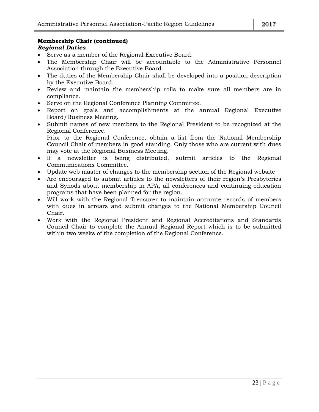#### **Membership Chair (continued)** *Regional Duties*

- Serve as a member of the Regional Executive Board.
- The Membership Chair will be accountable to the Administrative Personnel Association through the Executive Board.
- The duties of the Membership Chair shall be developed into a position description by the Executive Board.
- Review and maintain the membership rolls to make sure all members are in compliance.
- Serve on the Regional Conference Planning Committee.
- Report on goals and accomplishments at the annual Regional Executive Board/Business Meeting.
- Submit names of new members to the Regional President to be recognized at the Regional Conference.

Prior to the Regional Conference, obtain a list from the National Membership Council Chair of members in good standing. Only those who are current with dues may vote at the Regional Business Meeting.

- If a newsletter is being distributed, submit articles to the Regional Communications Committee.
- Update web master of changes to the membership section of the Regional website
- Are encouraged to submit articles to the newsletters of their region's Presbyteries and Synods about membership in APA, all conferences and continuing education programs that have been planned for the region.
- Will work with the Regional Treasurer to maintain accurate records of members with dues in arrears and submit changes to the National Membership Council Chair.
- Work with the Regional President and Regional Accreditations and Standards Council Chair to complete the Annual Regional Report which is to be submitted within two weeks of the completion of the Regional Conference.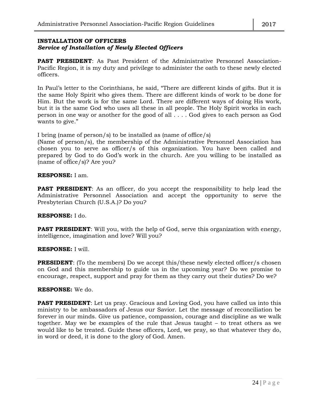#### **INSTALLATION OF OFFICERS** *Service of Installation of Newly Elected Officers*

**PAST PRESIDENT:** As Past President of the Administrative Personnel Association-Pacific Region, it is my duty and privilege to administer the oath to these newly elected officers.

In Paul's letter to the Corinthians, he said, "There are different kinds of gifts. But it is the same Holy Spirit who gives them. There are different kinds of work to be done for Him. But the work is for the same Lord. There are different ways of doing His work, but it is the same God who uses all these in all people. The Holy Spirit works in each person in one way or another for the good of all . . . . God gives to each person as God wants to give."

I bring (name of person/s) to be installed as (name of office/s)

(Name of person/s), the membership of the Administrative Personnel Association has chosen you to serve as officer/s of this organization. You have been called and prepared by God to do God's work in the church. Are you willing to be installed as (name of office/s)? Are you?

#### **RESPONSE:** I am.

**PAST PRESIDENT**: As an officer, do you accept the responsibility to help lead the Administrative Personnel Association and accept the opportunity to serve the Presbyterian Church (U.S.A.)? Do you?

#### **RESPONSE:** I do.

**PAST PRESIDENT**: Will you, with the help of God, serve this organization with energy, intelligence, imagination and love? Will you?

#### **RESPONSE:** I will.

**PRESIDENT:** (To the members) Do we accept this/these newly elected officer/s chosen on God and this membership to guide us in the upcoming year? Do we promise to encourage, respect, support and pray for them as they carry out their duties? Do we?

#### **RESPONSE:** We do.

**PAST PRESIDENT:** Let us pray. Gracious and Loving God, you have called us into this ministry to be ambassadors of Jesus our Savior. Let the message of reconciliation be forever in our minds. Give us patience, compassion, courage and discipline as we walk together. May we be examples of the rule that Jesus taught – to treat others as we would like to be treated. Guide these officers, Lord, we pray, so that whatever they do, in word or deed, it is done to the glory of God. Amen.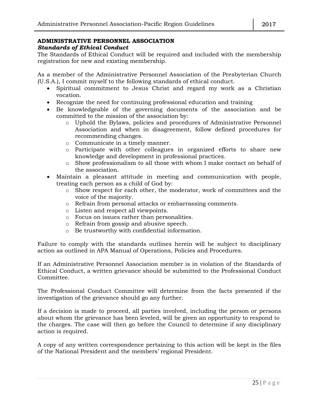## **ADMINISTRATIVE PERSONNEL ASSOCIATION**

### *Standards of Ethical Conduct*

The Standards of Ethical Conduct will be required and included with the membership registration for new and existing membership.

As a member of the Administrative Personnel Association of the Presbyterian Church (U.S.A.), I commit myself to the following standards of ethical conduct.

- Spiritual commitment to Jesus Christ and regard my work as a Christian vocation.
- Recognize the need for continuing professional education and training
- Be knowledgeable of the governing documents of the association and be committed to the mission of the association by:
	- o Uphold the Bylaws, policies and procedures of Administrative Personnel Association and when in disagreement, follow defined procedures for recommending changes.
	- o Communicate in a timely manner.
	- o Participate with other colleagues in organized efforts to share new knowledge and development in professional practices.
	- o Show professionalism to all those with whom I make contact on behalf of the association.
- Maintain a pleasant attitude in meeting and communication with people, treating each person as a child of God by:
	- o Show respect for each other, the moderator, work of committees and the voice of the majority.
	- o Refrain from personal attacks or embarrassing comments.
	- o Listen and respect all viewpoints.
	- o Focus on issues rather than personalities.
	- o Refrain from gossip and abusive speech.
	- o Be trustworthy with confidential information.

Failure to comply with the standards outlines herein will be subject to disciplinary action as outlined in APA Manual of Operations, Policies and Procedures.

If an Administrative Personnel Association member is in violation of the Standards of Ethical Conduct, a written grievance should be submitted to the Professional Conduct Committee.

The Professional Conduct Committee will determine from the facts presented if the investigation of the grievance should go any further.

If a decision is made to proceed, all parties involved, including the person or persons about whom the grievance has been leveled, will be given an opportunity to respond to the charges. The case will then go before the Council to determine if any disciplinary action is required.

A copy of any written correspondence pertaining to this action will be kept in the files of the National President and the members' regional President.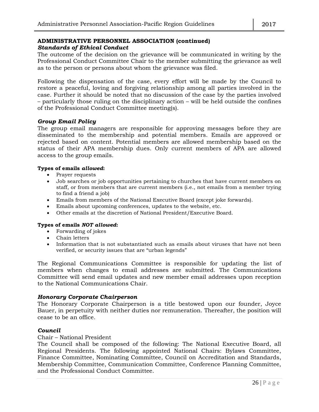#### **ADMINISTRATIVE PERSONNEL ASSOCIATION (continued)** *Standards of Ethical Conduct*

The outcome of the decision on the grievance will be communicated in writing by the Professional Conduct Committee Chair to the member submitting the grievance as well as to the person or persons about whom the grievance was filed.

Following the dispensation of the case, every effort will be made by the Council to restore a peaceful, loving and forgiving relationship among all parties involved in the case. Further it should be noted that no discussion of the case by the parties involved – particularly those ruling on the disciplinary action – will be held outside the confines of the Professional Conduct Committee meeting(s).

#### *Group Email Policy*

The group email managers are responsible for approving messages before they are disseminated to the membership and potential members. Emails are approved or rejected based on content. Potential members are allowed membership based on the status of their APA membership dues. Only current members of APA are allowed access to the group emails.

#### **Types of emails** *allowed***:**

- Prayer requests
- Job searches or job opportunities pertaining to churches that have current members on staff, or from members that are current members (i.e., not emails from a member trying to find a friend a job)
- Emails from members of the National Executive Board (except joke forwards).
- Emails about upcoming conferences, updates to the website, etc.
- Other emails at the discretion of National President/Executive Board.

#### **Types of emails** *NOT allowed***:**

- Forwarding of jokes
- Chain letters
- Information that is not substantiated such as emails about viruses that have not been verified, or security issues that are "urban legends"

The Regional Communications Committee is responsible for updating the list of members when changes to email addresses are submitted. The Communications Committee will send email updates and new member email addresses upon reception to the National Communications Chair.

#### *Honorary Corporate Chairperson*

The Honorary Corporate Chairperson is a title bestowed upon our founder, Joyce Bauer, in perpetuity with neither duties nor remuneration. Thereafter, the position will cease to be an office.

#### *Council*

Chair – National President

The Council shall be composed of the following: The National Executive Board, all Regional Presidents. The following appointed National Chairs: Bylaws Committee, Finance Committee, Nominating Committee, Council on Accreditation and Standards, Membership Committee, Communication Committee, Conference Planning Committee, and the Professional Conduct Committee.